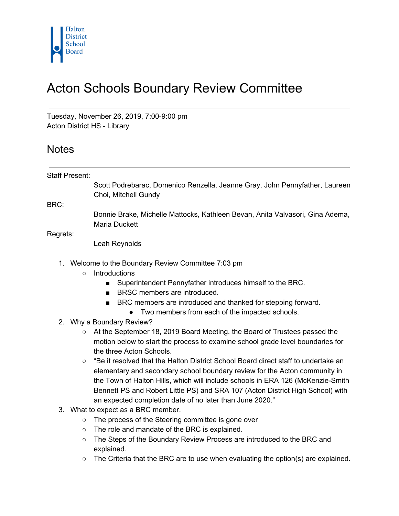

## Acton Schools Boundary Review Committee

Tuesday, November 26, 2019, 7:00-9:00 pm Acton District HS - Library

## **Notes**

Staff Present: Scott Podrebarac, Domenico Renzella, Jeanne Gray, John Pennyfather, Laureen Choi, Mitchell Gundy

BRC:

Bonnie Brake, Michelle Mattocks, Kathleen Bevan, Anita Valvasori, Gina Adema, Maria Duckett

Regrets:

Leah Reynolds

- 1. Welcome to the Boundary Review Committee 7:03 pm
	- Introductions
		- Superintendent Pennyfather introduces himself to the BRC.
		- BRSC members are introduced.
		- BRC members are introduced and thanked for stepping forward.
			- Two members from each of the impacted schools.
- 2. Why a Boundary Review?
	- At the September 18, 2019 Board Meeting, the Board of Trustees passed the motion below to start the process to examine school grade level boundaries for the three Acton Schools.
	- $\circ$  "Be it resolved that the Halton District School Board direct staff to undertake an elementary and secondary school boundary review for the Acton community in the Town of Halton Hills, which will include schools in ERA 126 (McKenzie-Smith Bennett PS and Robert Little PS) and SRA 107 (Acton District High School) with an expected completion date of no later than June 2020."
- 3. What to expect as a BRC member.
	- The process of the Steering committee is gone over
	- The role and mandate of the BRC is explained.
	- The Steps of the Boundary Review Process are introduced to the BRC and explained.
	- $\circ$  The Criteria that the BRC are to use when evaluating the option(s) are explained.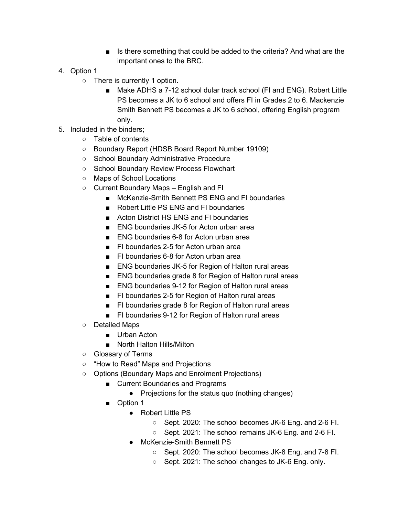- Is there something that could be added to the criteria? And what are the important ones to the BRC.
- 4. Option 1
	- There is currently 1 option.
		- Make ADHS a 7-12 school dular track school (FI and ENG). Robert Little PS becomes a JK to 6 school and offers FI in Grades 2 to 6. Mackenzie Smith Bennett PS becomes a JK to 6 school, offering English program only.
- 5. Included in the binders;
	- Table of contents
	- Boundary Report (HDSB Board Report Number 19109)
	- School Boundary Administrative Procedure
	- School Boundary Review Process Flowchart
	- Maps of School Locations
	- Current Boundary Maps English and FI
		- McKenzie-Smith Bennett PS ENG and FI boundaries
		- Robert Little PS ENG and FI boundaries
		- Acton District HS ENG and FI boundaries
		- ENG boundaries JK-5 for Acton urban area
		- ENG boundaries 6-8 for Acton urban area
		- FI boundaries 2-5 for Acton urban area
		- FI boundaries 6-8 for Acton urban area
		- ENG boundaries JK-5 for Region of Halton rural areas
		- ENG boundaries grade 8 for Region of Halton rural areas
		- ENG boundaries 9-12 for Region of Halton rural areas
		- FI boundaries 2-5 for Region of Halton rural areas
		- FI boundaries grade 8 for Region of Halton rural areas
		- FI boundaries 9-12 for Region of Halton rural areas
	- Detailed Maps
		- Urban Acton
		- North Halton Hills/Milton
	- Glossary of Terms
	- "How to Read" Maps and Projections
	- Options (Boundary Maps and Enrolment Projections)
		- Current Boundaries and Programs
			- Projections for the status quo (nothing changes)
		- Option 1
			- Robert Little PS
				- Sept. 2020: The school becomes JK-6 Eng. and 2-6 FI.
				- Sept. 2021: The school remains JK-6 Eng. and 2-6 FI.
			- McKenzie-Smith Bennett PS
				- Sept. 2020: The school becomes JK-8 Eng. and 7-8 FI.
				- Sept. 2021: The school changes to JK-6 Eng. only.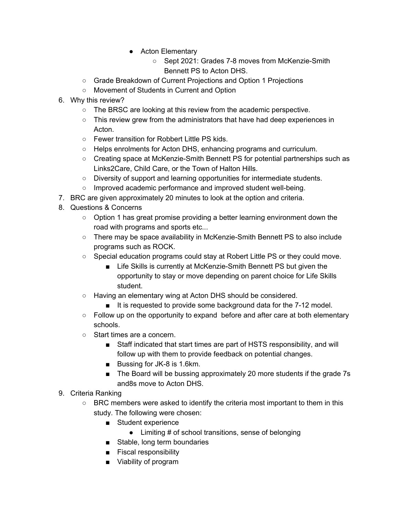- Acton Elementary
	- Sept 2021: Grades 7-8 moves from McKenzie-Smith Bennett PS to Acton DHS.
- Grade Breakdown of Current Projections and Option 1 Projections
- Movement of Students in Current and Option
- 6. Why this review?
	- $\circ$  The BRSC are looking at this review from the academic perspective.
	- This review grew from the administrators that have had deep experiences in Acton.
	- Fewer transition for Robbert Little PS kids.
	- Helps enrolments for Acton DHS, enhancing programs and curriculum.
	- Creating space at McKenzie-Smith Bennett PS for potential partnerships such as Links2Care, Child Care, or the Town of Halton Hills.
	- Diversity of support and learning opportunities for intermediate students.
	- Improved academic performance and improved student well-being.
- 7. BRC are given approximately 20 minutes to look at the option and criteria.
- 8. Questions & Concerns
	- Option 1 has great promise providing a better learning environment down the road with programs and sports etc...
	- There may be space availability in McKenzie-Smith Bennett PS to also include programs such as ROCK.
	- $\circ$  Special education programs could stay at Robert Little PS or they could move.
		- Life Skills is currently at McKenzie-Smith Bennett PS but given the opportunity to stay or move depending on parent choice for Life Skills student.
	- Having an elementary wing at Acton DHS should be considered.
		- It is requested to provide some background data for the 7-12 model.
	- Follow up on the opportunity to expand before and after care at both elementary schools.
	- Start times are a concern.
		- Staff indicated that start times are part of HSTS responsibility, and will follow up with them to provide feedback on potential changes.
		- Bussing for JK-8 is 1.6km.
		- The Board will be bussing approximately 20 more students if the grade 7s and8s move to Acton DHS.
- 9. Criteria Ranking
	- BRC members were asked to identify the criteria most important to them in this study. The following were chosen:
		- Student experience
			- Limiting # of school transitions, sense of belonging
		- Stable, long term boundaries
		- Fiscal responsibility
		- Viability of program